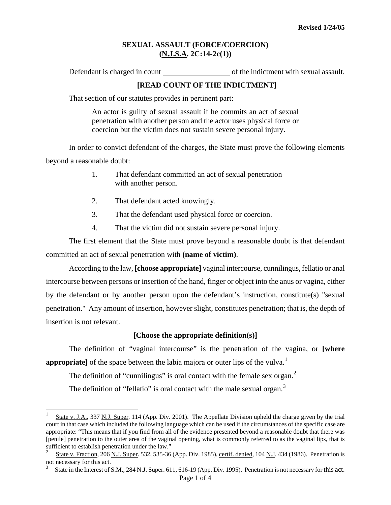## **SEXUAL ASSAULT (FORCE/COERCION) (N.J.S.A. 2C:14-2c(1))**

Defendant is charged in count of the indictment with sexual assault.

# **[READ COUNT OF THE INDICTMENT]**

That section of our statutes provides in pertinent part:

An actor is guilty of sexual assault if he commits an act of sexual penetration with another person and the actor uses physical force or coercion but the victim does not sustain severe personal injury.

In order to convict defendant of the charges, the State must prove the following elements beyond a reasonable doubt:

- 1. That defendant committed an act of sexual penetration with another person.
- 2. That defendant acted knowingly.
- 3. That the defendant used physical force or coercion.
- 4. That the victim did not sustain severe personal injury.

The first element that the State must prove beyond a reasonable doubt is that defendant committed an act of sexual penetration with **(name of victim)**.

According to the law, **[choose appropriate]** vaginal intercourse, cunnilingus, fellatio or anal intercourse between persons or insertion of the hand, finger or object into the anus or vagina, either by the defendant or by another person upon the defendant's instruction, constitute(s) "sexual penetration." Any amount of insertion, however slight, constitutes penetration; that is, the depth of insertion is not relevant.

# **[Choose the appropriate definition(s)]**

The definition of "vaginal intercourse" is the penetration of the vagina, or **[where appropriate**] of the space between the labia majora or outer lips of the vulva.<sup>[1](#page-0-0)</sup>

The definition of "cunnilingus" is oral contact with the female sex organ. $<sup>2</sup>$  $<sup>2</sup>$  $<sup>2</sup>$ </sup>

The definition of "fellatio" is oral contact with the male sexual organ.<sup>[3](#page-0-2)</sup>

<span id="page-0-0"></span><sup>1</sup> State v. J.A., 337 N.J. Super. 114 (App. Div. 2001). The Appellate Division upheld the charge given by the trial court in that case which included the following language which can be used if the circumstances of the specific case are appropriate: "This means that if you find from all of the evidence presented beyond a reasonable doubt that there was [penile] penetration to the outer area of the vaginal opening, what is commonly referred to as the vaginal lips, that is sufficient to establish penetration under the law."

<span id="page-0-3"></span><span id="page-0-1"></span><sup>2</sup> State v. Fraction, 206 N.J. Super. 532, 535-36 (App. Div. 1985), certif. denied, 104 N.J. 434 (1986). Penetration is not necessary for this act.

<span id="page-0-2"></span>Page 1 of 4 3 State in the Interest of S.M., 284 N.J. Super. 611, 616-19 (App. Div. 1995). Penetration is not necessary for this act.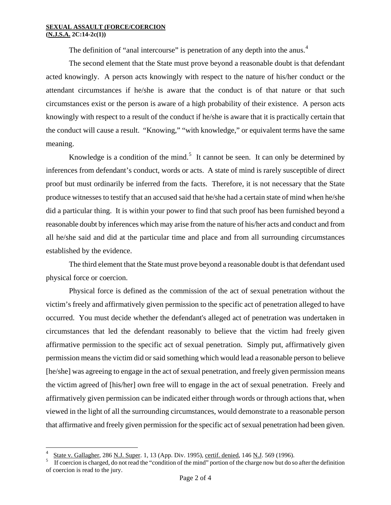### **SEXUAL ASSAULT (FORCE/COERCION (N.J.S.A. 2C:14-2c(1))**

The definition of "anal intercourse" is penetration of any depth into the anus.<sup>[4](#page-0-3)</sup>

The second element that the State must prove beyond a reasonable doubt is that defendant acted knowingly. A person acts knowingly with respect to the nature of his/her conduct or the attendant circumstances if he/she is aware that the conduct is of that nature or that such circumstances exist or the person is aware of a high probability of their existence. A person acts knowingly with respect to a result of the conduct if he/she is aware that it is practically certain that the conduct will cause a result. "Knowing," "with knowledge," or equivalent terms have the same meaning.

Knowledge is a condition of the mind.<sup>[5](#page-1-0)</sup> It cannot be seen. It can only be determined by inferences from defendant's conduct, words or acts. A state of mind is rarely susceptible of direct proof but must ordinarily be inferred from the facts. Therefore, it is not necessary that the State produce witnesses to testify that an accused said that he/she had a certain state of mind when he/she did a particular thing. It is within your power to find that such proof has been furnished beyond a reasonable doubt by inferences which may arise from the nature of his/her acts and conduct and from all he/she said and did at the particular time and place and from all surrounding circumstances established by the evidence.

The third element that the State must prove beyond a reasonable doubt is that defendant used physical force or coercion.

Physical force is defined as the commission of the act of sexual penetration without the victim's freely and affirmatively given permission to the specific act of penetration alleged to have occurred. You must decide whether the defendant's alleged act of penetration was undertaken in circumstances that led the defendant reasonably to believe that the victim had freely given affirmative permission to the specific act of sexual penetration. Simply put, affirmatively given permission means the victim did or said something which would lead a reasonable person to believe [he/she] was agreeing to engage in the act of sexual penetration, and freely given permission means the victim agreed of [his/her] own free will to engage in the act of sexual penetration. Freely and affirmatively given permission can be indicated either through words or through actions that, when viewed in the light of all the surrounding circumstances, would demonstrate to a reasonable person that affirmative and freely given permission for the specific act of sexual penetration had been given.

<sup>4</sup> State v. Gallagher, 286 N.J. Super. 1, 13 (App. Div. 1995), certif. denied, 146 N.J. 569 (1996).

<span id="page-1-1"></span><span id="page-1-0"></span>If coercion is charged, do not read the "condition of the mind" portion of the charge now but do so after the definition of coercion is read to the jury.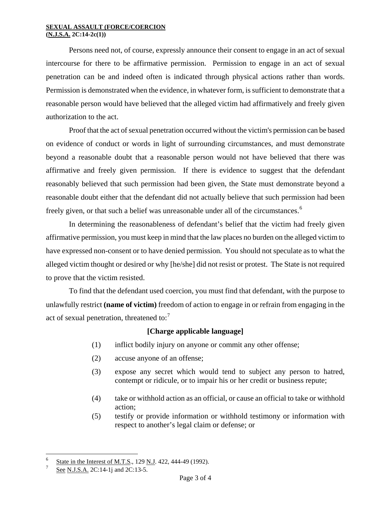Persons need not, of course, expressly announce their consent to engage in an act of sexual intercourse for there to be affirmative permission. Permission to engage in an act of sexual penetration can be and indeed often is indicated through physical actions rather than words. Permission is demonstrated when the evidence, in whatever form, is sufficient to demonstrate that a reasonable person would have believed that the alleged victim had affirmatively and freely given authorization to the act.

Proof that the act of sexual penetration occurred without the victim's permission can be based on evidence of conduct or words in light of surrounding circumstances, and must demonstrate beyond a reasonable doubt that a reasonable person would not have believed that there was affirmative and freely given permission. If there is evidence to suggest that the defendant reasonably believed that such permission had been given, the State must demonstrate beyond a reasonable doubt either that the defendant did not actually believe that such permission had been freely given, or that such a belief was unreasonable under all of the circumstances.<sup>[6](#page-1-1)</sup>

In determining the reasonableness of defendant's belief that the victim had freely given affirmative permission, you must keep in mind that the law places no burden on the alleged victim to have expressed non-consent or to have denied permission. You should not speculate as to what the alleged victim thought or desired or why [he/she] did not resist or protest. The State is not required to prove that the victim resisted.

To find that the defendant used coercion, you must find that defendant, with the purpose to unlawfully restrict **(name of victim)** freedom of action to engage in or refrain from engaging in the act of sexual penetration, threatened to: $<sup>7</sup>$  $<sup>7</sup>$  $<sup>7</sup>$ </sup>

# **[Charge applicable language]**

- (1) inflict bodily injury on anyone or commit any other offense;
- (2) accuse anyone of an offense;
- (3) expose any secret which would tend to subject any person to hatred, contempt or ridicule, or to impair his or her credit or business repute;
- (4) take or withhold action as an official, or cause an official to take or withhold action;
- (5) testify or provide information or withhold testimony or information with respect to another's legal claim or defense; or

<span id="page-2-1"></span><sup>6</sup> State in the Interest of M.T.S., 129 N.J. 422, 444-49 (1992).

<span id="page-2-0"></span><sup>7</sup> See N.J.S.A. 2C:14-1j and 2C:13-5.